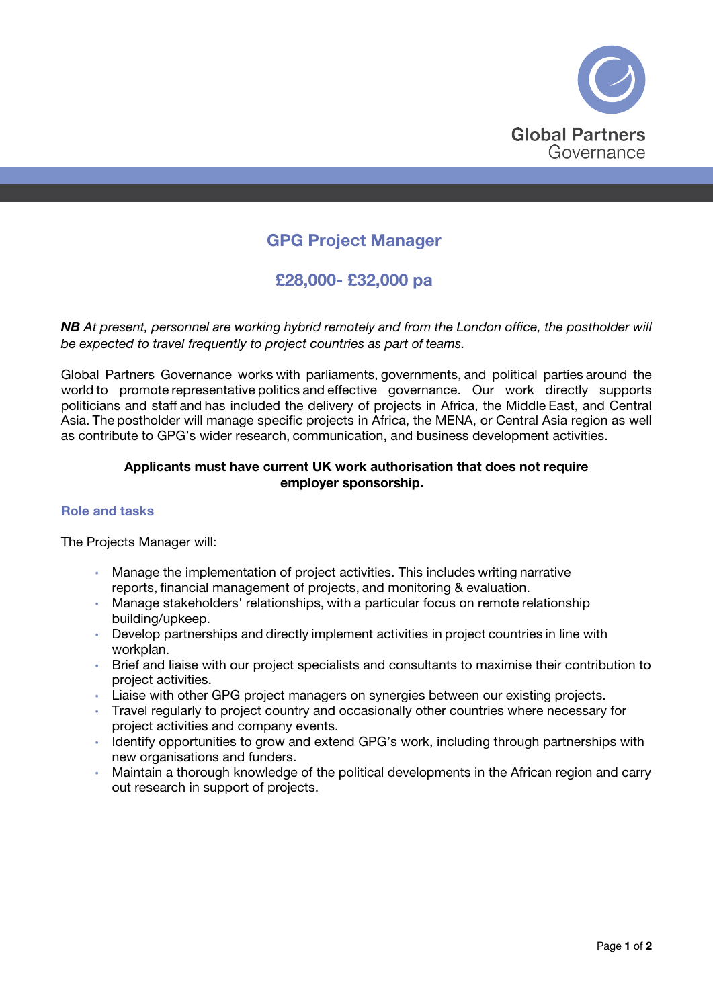

# GPG Project Manager

£28,000- £32,000 pa

*NB At present, personnel are working hybrid remotely and from the London office, the postholder will be expected to travel frequently to project countries as part of teams.*

Global Partners Governance works with parliaments, governments, and political parties around the world to promote representative politics and effective governance. Our work directly supports politicians and staff and has included the delivery of projects in Africa, the Middle East, and Central Asia. The postholder will manage specific projects in Africa, the MENA, or Central Asia region as well as contribute to GPG's wider research, communication, and business development activities.

## Applicants must have current UK work authorisation that does not require employer sponsorship.

## Role and tasks

The Projects Manager will:   

- Manage the implementation of project activities. This includes writing narrative reports, financial management of projects, and monitoring & evaluation.
- Manage stakeholders' relationships, with a particular focus on remote relationship building/upkeep.
- Develop partnerships and directly implement activities in project countries in line with workplan.
- Brief and liaise with our project specialists and consultants to maximise their contribution to project activities.
- Liaise with other GPG project managers on synergies between our existing projects.
- Travel regularly to project country and occasionally other countries where necessary for project activities and company events.
- Identify opportunities to grow and extend GPG's work, including through partnerships with new organisations and funders.
- Maintain a thorough knowledge of the political developments in the African region and carry out research in support of projects.